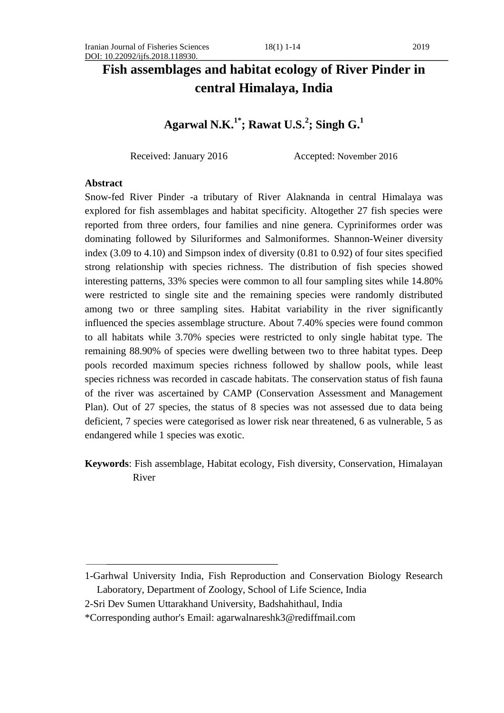# **Fish assemblages and habitat ecology of River Pinder in central Himalaya, India**

## **Agarwal N.K. 1\* ; Rawat U.S. 2 ; Singh G. 1**

Received: January 2016 Accepted: November 2016

#### **Abstract**

Snow-fed River Pinder -a tributary of River Alaknanda in central Himalaya was explored for fish assemblages and habitat specificity. Altogether 27 fish species were reported from three orders, four families and nine genera. Cypriniformes order was dominating followed by Siluriformes and Salmoniformes. Shannon-Weiner diversity index (3.09 to 4.10) and Simpson index of diversity (0.81 to 0.92) of four sites specified strong relationship with species richness. The distribution of fish species showed interesting patterns, 33% species were common to all four sampling sites while 14.80% were restricted to single site and the remaining species were randomly distributed among two or three sampling sites. Habitat variability in the river significantly influenced the species assemblage structure. About 7.40% species were found common to all habitats while 3.70% species were restricted to only single habitat type. The remaining 88.90% of species were dwelling between two to three habitat types. Deep pools recorded maximum species richness followed by shallow pools, while least species richness was recorded in cascade habitats. The conservation status of fish fauna of the river was ascertained by CAMP (Conservation Assessment and Management Plan). Out of 27 species, the status of 8 species was not assessed due to data being deficient, 7 species were categorised as lower risk near threatened, 6 as vulnerable, 5 as endangered while 1 species was exotic.

**Keywords**: Fish assemblage, Habitat ecology, Fish diversity, Conservation, Himalayan River

<sup>1-</sup>Garhwal University India, Fish Reproduction and Conservation Biology Research Laboratory, Department of Zoology, School of Life Science, India

<sup>2-</sup>Sri Dev Sumen Uttarakhand University, Badshahithaul, India

<sup>\*</sup>Corresponding author's Email: agarwalnareshk3@rediffmail.com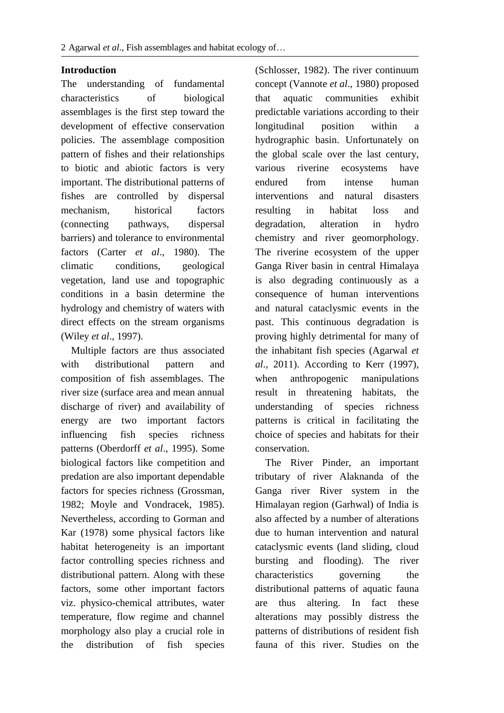#### **Introduction**

The understanding of fundamental characteristics of biological assemblages is the first step toward the development of effective conservation policies. The assemblage composition pattern of fishes and their relationships to biotic and abiotic factors is very important. The distributional patterns of fishes are controlled by dispersal mechanism, historical factors (connecting pathways, dispersal barriers) and tolerance to environmental factors (Carter *et al*., 1980). The climatic conditions, geological vegetation, land use and topographic conditions in a basin determine the hydrology and chemistry of waters with direct effects on the stream organisms (Wiley *et al*., 1997).

 Multiple factors are thus associated with distributional pattern and composition of fish assemblages. The river size (surface area and mean annual discharge of river) and availability of energy are two important factors influencing fish species richness patterns (Oberdorff *et al*., 1995). Some biological factors like competition and predation are also important dependable factors for species richness (Grossman, 1982; Moyle and Vondracek, 1985). Nevertheless, according to Gorman and Kar (1978) some physical factors like habitat heterogeneity is an important factor controlling species richness and distributional pattern. Along with these factors, some other important factors viz. physico-chemical attributes, water temperature, flow regime and channel morphology also play a crucial role in the distribution of fish species

(Schlosser, 1982). The river continuum concept (Vannote *et al*., 1980) proposed that aquatic communities exhibit predictable variations according to their longitudinal position within a hydrographic basin. Unfortunately on the global scale over the last century, various riverine ecosystems have endured from intense human interventions and natural disasters resulting in habitat loss and degradation, alteration in hydro chemistry and river geomorphology. The riverine ecosystem of the upper Ganga River basin in central Himalaya is also degrading continuously as a consequence of human interventions and natural cataclysmic events in the past. This continuous degradation is proving highly detrimental for many of the inhabitant fish species (Agarwal *et al*., 2011). According to Kerr (1997), when anthropogenic manipulations result in threatening habitats, the understanding of species richness patterns is critical in facilitating the choice of species and habitats for their conservation.

 The River Pinder, an important tributary of river Alaknanda of the Ganga river River system in the Himalayan region (Garhwal) of India is also affected by a number of alterations due to human intervention and natural cataclysmic events (land sliding, cloud bursting and flooding). The river characteristics governing the distributional patterns of aquatic fauna are thus altering. In fact these alterations may possibly distress the patterns of distributions of resident fish fauna of this river. Studies on the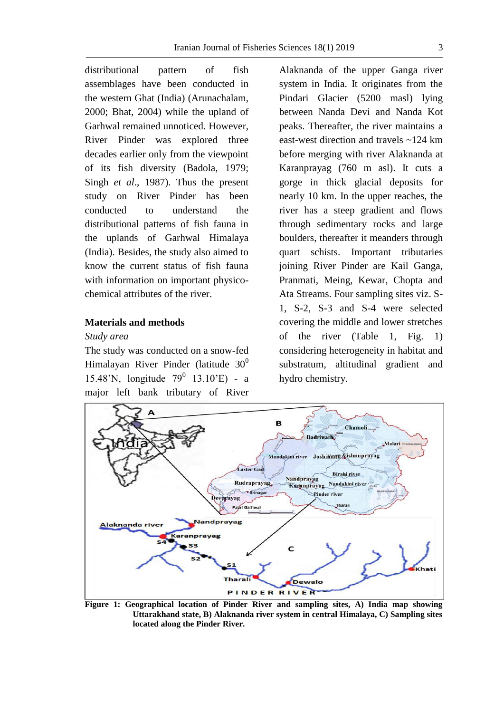distributional pattern of fish assemblages have been conducted in the western Ghat (India) (Arunachalam, 2000; Bhat, 2004) while the upland of Garhwal remained unnoticed. However, River Pinder was explored three decades earlier only from the viewpoint of its fish diversity (Badola, 1979; Singh *et al*., 1987). Thus the present study on River Pinder has been conducted to understand the distributional patterns of fish fauna in the uplands of Garhwal Himalaya (India). Besides, the study also aimed to know the current status of fish fauna with information on important physicochemical attributes of the river.

#### **Materials and methods**

#### *Study area*

The study was conducted on a snow-fed Himalayan River Pinder (latitude  $30^0$ ) 15.48'N, longitude 79<sup>0</sup> 13.10'E) - a major left bank tributary of River

Alaknanda of the upper Ganga river system in India. It originates from the Pindari Glacier (5200 masl) lying between Nanda Devi and Nanda Kot peaks. Thereafter, the river maintains a east-west direction and travels ~124 km before merging with river Alaknanda at Karanprayag (760 m asl). It cuts a gorge in thick glacial deposits for nearly 10 km. In the upper reaches, the river has a steep gradient and flows through sedimentary rocks and large boulders, thereafter it meanders through quart schists. Important tributaries joining River Pinder are Kail Ganga, Pranmati, Meing, Kewar, Chopta and Ata Streams. Four sampling sites viz. S-1, S-2, S-3 and S-4 were selected covering the middle and lower stretches of the river (Table 1, Fig. 1) considering heterogeneity in habitat and substratum, altitudinal gradient and hydro chemistry.



**Figure 1: Geographical location of Pinder River and sampling sites, A) India map showing Uttarakhand state, B) Alaknanda river system in central Himalaya, C) Sampling sites located along the Pinder River.**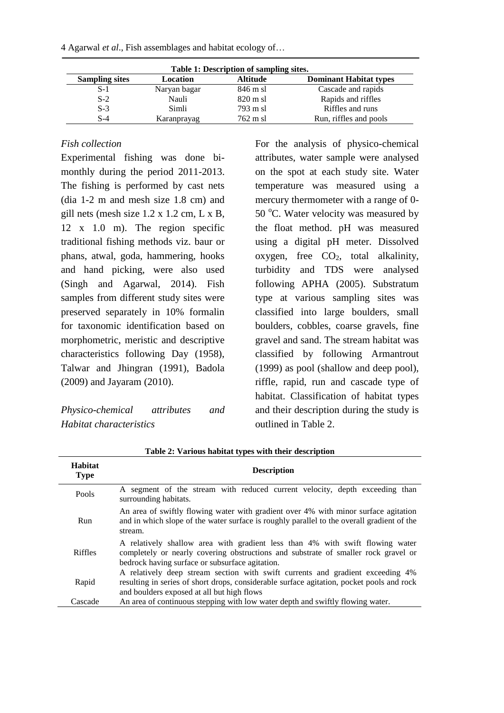| Table 1: Description of sampling sites. |              |                    |                               |  |  |  |
|-----------------------------------------|--------------|--------------------|-------------------------------|--|--|--|
| <b>Sampling sites</b>                   | Location     | <b>Altitude</b>    | <b>Dominant Habitat types</b> |  |  |  |
| $S-1$                                   | Naryan bagar | 846 m sl           | Cascade and rapids            |  |  |  |
| $S-2$                                   | Nauli        | $820 \text{ m}$ sl | Rapids and riffles            |  |  |  |
| $S-3$                                   | Simli        | 793 m sl           | Riffles and runs              |  |  |  |
| S-4                                     | Karanprayag  | $762 \text{ m}$ sl | Run, riffles and pools        |  |  |  |

4 Agarwal *et al*., Fish assemblages and habitat ecology of…

## *Fish collection*

Experimental fishing was done bimonthly during the period 2011-2013. The fishing is performed by cast nets (dia 1-2 m and mesh size 1.8 cm) and gill nets (mesh size 1.2 x 1.2 cm, L x B, 12 x 1.0 m). The region specific traditional fishing methods viz. baur or phans, atwal, goda, hammering, hooks and hand picking, were also used (Singh and Agarwal, 2014). Fish samples from different study sites were preserved separately in 10% formalin for taxonomic identification based on morphometric, meristic and descriptive characteristics following Day (1958), Talwar and Jhingran (1991), Badola (2009) and Jayaram (2010).

*Physico-chemical attributes and Habitat characteristics*

For the analysis of physico-chemical attributes, water sample were analysed on the spot at each study site. Water temperature was measured using a mercury thermometer with a range of 0- 50  $^{\circ}$ C. Water velocity was measured by the float method. pH was measured using a digital pH meter. Dissolved oxygen, free  $CO<sub>2</sub>$ , total alkalinity, turbidity and TDS were analysed following APHA (2005). Substratum type at various sampling sites was classified into large boulders, small boulders, cobbles, coarse gravels, fine gravel and sand. The stream habitat was classified by following Armantrout (1999) as pool (shallow and deep pool), riffle, rapid, run and cascade type of habitat. Classification of habitat types and their description during the study is outlined in Table 2.

| Habitat<br><b>Type</b> | <b>Description</b>                                                                                                                                                                                                        |
|------------------------|---------------------------------------------------------------------------------------------------------------------------------------------------------------------------------------------------------------------------|
| Pools                  | A segment of the stream with reduced current velocity, depth exceeding than<br>surrounding habitats.                                                                                                                      |
| Run                    | An area of swiftly flowing water with gradient over 4% with minor surface agitation<br>and in which slope of the water surface is roughly parallel to the overall gradient of the<br>stream.                              |
| <b>Riffles</b>         | A relatively shallow area with gradient less than 4% with swift flowing water<br>completely or nearly covering obstructions and substrate of smaller rock gravel or<br>bedrock having surface or subsurface agitation.    |
| Rapid                  | A relatively deep stream section with swift currents and gradient exceeding 4%<br>resulting in series of short drops, considerable surface agitation, pocket pools and rock<br>and boulders exposed at all but high flows |
| Cascade                | An area of continuous stepping with low water depth and swiftly flowing water.                                                                                                                                            |

| Table 2: Various habitat types with their description |  |  |  |  |
|-------------------------------------------------------|--|--|--|--|
|                                                       |  |  |  |  |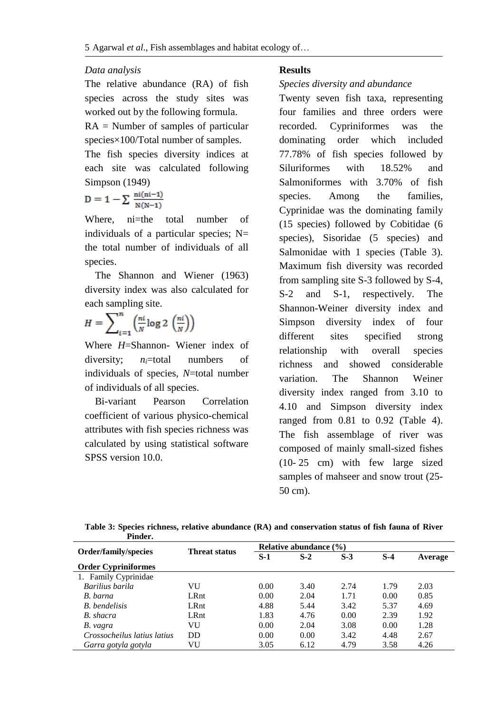#### *Data analysis*

|                                      |  | The relative abundance (RA) of fish |  |  |  |  |  |  |
|--------------------------------------|--|-------------------------------------|--|--|--|--|--|--|
|                                      |  | species across the study sites was  |  |  |  |  |  |  |
| worked out by the following formula. |  |                                     |  |  |  |  |  |  |

RA = Number of samples of particular species×100/Total number of samples.

The fish species diversity indices at each site was calculated following Simpson (1949)

$$
D=1-\sum\frac{\text{ni}(\text{ni}-1)}{\text{N}(\text{N}-1)}
$$

Where, ni=the total number of individuals of a particular species;  $N=$ the total number of individuals of all species.

 The Shannon and Wiener (1963) diversity index was also calculated for each sampling site.

$$
H = \sum_{i=1}^{n} \left( \frac{n i}{N} \log 2 \left( \frac{n i}{N} \right) \right)
$$

Where *H*=Shannon- Wiener index of diversity; *ni*=total numbers of individuals of species, *N*=total number of individuals of all species.

 Bi-variant Pearson Correlation coefficient of various physico-chemical attributes with fish species richness was calculated by using statistical software SPSS version 10.0.

#### **Results**

#### *Species diversity and abundance*

Twenty seven fish taxa, representing four families and three orders were recorded. Cypriniformes was the dominating order which included 77.78% of fish species followed by Siluriformes with 18.52% and Salmoniformes with 3.70% of fish species. Among the families, Cyprinidae was the dominating family (15 species) followed by Cobitidae (6 species), Sisoridae (5 species) and Salmonidae with 1 species (Table 3). Maximum fish diversity was recorded from sampling site S-3 followed by S-4, S-2 and S-1, respectively. The Shannon-Weiner diversity index and Simpson diversity index of four different sites specified strong relationship with overall species richness and showed considerable variation. The Shannon Weiner diversity index ranged from 3.10 to 4.10 and Simpson diversity index ranged from 0.81 to 0.92 (Table 4). The fish assemblage of river was composed of mainly small-sized fishes (10- 25 cm) with few large sized samples of mahseer and snow trout (25- 50 cm).

| Table 3: Species richness, relative abundance (RA) and conservation status of fish fauna of River |  |  |
|---------------------------------------------------------------------------------------------------|--|--|
| Pinder.                                                                                           |  |  |

|                             | <b>Threat status</b> | Relative abundance $(\% )$ |       |       |       |         |  |
|-----------------------------|----------------------|----------------------------|-------|-------|-------|---------|--|
| <b>Order/family/species</b> |                      | $S-1$                      | $S-2$ | $S-3$ | $S-4$ | Average |  |
| <b>Order Cypriniformes</b>  |                      |                            |       |       |       |         |  |
| 1. Family Cyprinidae        |                      |                            |       |       |       |         |  |
| Barilius barila             | VU                   | 0.00                       | 3.40  | 2.74  | 1.79  | 2.03    |  |
| B. barna                    | LRnt                 | 0.00                       | 2.04  | 1.71  | 0.00  | 0.85    |  |
| <b>B.</b> bendelisis        | LRnt                 | 4.88                       | 5.44  | 3.42  | 5.37  | 4.69    |  |
| B. shacra                   | LRnt                 | 1.83                       | 4.76  | 0.00  | 2.39  | 1.92    |  |
| B. vagra                    | VU                   | 0.00                       | 2.04  | 3.08  | 0.00  | 1.28    |  |
| Crossocheilus latius latius | DD                   | 0.00                       | 0.00  | 3.42  | 4.48  | 2.67    |  |
| Garra gotyla gotyla         | VU                   | 3.05                       | 6.12  | 4.79  | 3.58  | 4.26    |  |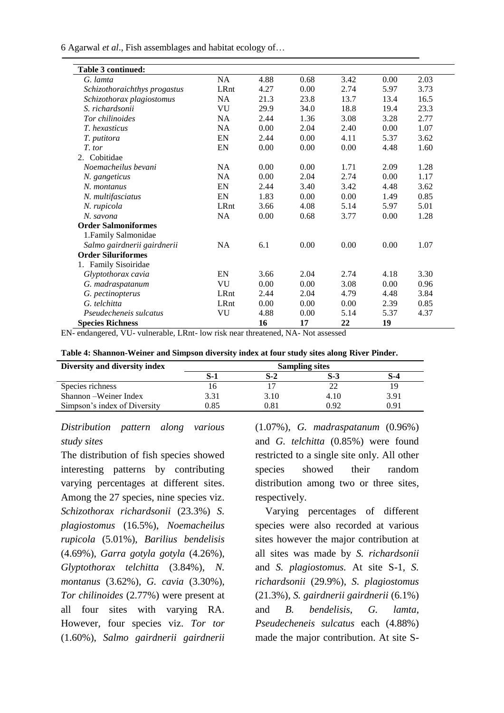6 Agarwal *et al*., Fish assemblages and habitat ecology of…

| <b>Table 3 continued:</b>    |           |      |      |      |      |      |
|------------------------------|-----------|------|------|------|------|------|
| G. lamta                     | NA        | 4.88 | 0.68 | 3.42 | 0.00 | 2.03 |
| Schizothoraichthys progastus | LRnt      | 4.27 | 0.00 | 2.74 | 5.97 | 3.73 |
| Schizothorax plagiostomus    | NA        | 21.3 | 23.8 | 13.7 | 13.4 | 16.5 |
| S. richardsonii              | VU        | 29.9 | 34.0 | 18.8 | 19.4 | 23.3 |
| Tor chilinoides              | <b>NA</b> | 2.44 | 1.36 | 3.08 | 3.28 | 2.77 |
| <i>T.</i> hexasticus         | NA        | 0.00 | 2.04 | 2.40 | 0.00 | 1.07 |
| T. putitora                  | EN        | 2.44 | 0.00 | 4.11 | 5.37 | 3.62 |
| T. tor                       | EN        | 0.00 | 0.00 | 0.00 | 4.48 | 1.60 |
| 2. Cobitidae                 |           |      |      |      |      |      |
| Noemacheilus bevani          | <b>NA</b> | 0.00 | 0.00 | 1.71 | 2.09 | 1.28 |
| N. gangeticus                | NA        | 0.00 | 2.04 | 2.74 | 0.00 | 1.17 |
| N. montanus                  | EN        | 2.44 | 3.40 | 3.42 | 4.48 | 3.62 |
| N. multifasciatus            | EN        | 1.83 | 0.00 | 0.00 | 1.49 | 0.85 |
| N. rupicola                  | LRnt      | 3.66 | 4.08 | 5.14 | 5.97 | 5.01 |
| N. savona                    | NA        | 0.00 | 0.68 | 3.77 | 0.00 | 1.28 |
| <b>Order Salmoniformes</b>   |           |      |      |      |      |      |
| 1. Family Salmonidae         |           |      |      |      |      |      |
| Salmo gairdnerii gairdnerii  | <b>NA</b> | 6.1  | 0.00 | 0.00 | 0.00 | 1.07 |
| <b>Order Siluriformes</b>    |           |      |      |      |      |      |
| 1. Family Sisoiridae         |           |      |      |      |      |      |
| Glyptothorax cavia           | EN        | 3.66 | 2.04 | 2.74 | 4.18 | 3.30 |
| G. madraspatanum             | VU        | 0.00 | 0.00 | 3.08 | 0.00 | 0.96 |
| G. pectinopterus             | LRnt      | 2.44 | 2.04 | 4.79 | 4.48 | 3.84 |
| G. telchitta                 | LRnt      | 0.00 | 0.00 | 0.00 | 2.39 | 0.85 |
| Pseudecheneis sulcatus       | VU        | 4.88 | 0.00 | 5.14 | 5.37 | 4.37 |
| <b>Species Richness</b>      |           | 16   | 17   | 22   | 19   |      |

EN- endangered, VU- vulnerable, LRnt- low risk near threatened, NA- Not assessed

| Diversity and diversity index | <b>Sampling sites</b> |      |      |      |  |  |
|-------------------------------|-----------------------|------|------|------|--|--|
|                               | S-1                   | S-2  | S-3  | S-4  |  |  |
| Species richness              |                       |      |      |      |  |  |
| Shannon – Weiner Index        | 3.31                  | 3.10 | 4.10 | 3.91 |  |  |
| Simpson's index of Diversity  | 0.85                  | ).81 | 0.92 | 0.91 |  |  |

## *Distribution pattern along various study sites*

The distribution of fish species showed interesting patterns by contributing varying percentages at different sites. Among the 27 species, nine species viz. *Schizothorax richardsonii* (23.3%) *S. plagiostomus* (16.5%), *Noemacheilus rupicola* (5.01%), *Barilius bendelisis*  (4.69%), *Garra gotyla gotyla* (4.26%), *Glyptothorax telchitta* (3.84%), *N. montanus* (3.62%), *G. cavia* (3.30%), *Tor chilinoides* (2.77%) were present at all four sites with varying RA. However, four species viz. *Tor tor* (1.60%), *Salmo gairdnerii gairdnerii*

(1.07%), *G. madraspatanum* (0.96%) and *G. telchitta* (0.85%) were found restricted to a single site only. All other species showed their random distribution among two or three sites, respectively.

 Varying percentages of different species were also recorded at various sites however the major contribution at all sites was made by *S. richardsonii*  and *S. plagiostomus.* At site S-1, *S. richardsonii* (29.9%), *S. plagiostomus* (21.3%), *S. gairdnerii gairdnerii* (6.1%) and *B. bendelisis*, *G. lamta*, *Pseudecheneis sulcatus* each (4.88%) made the major contribution. At site S-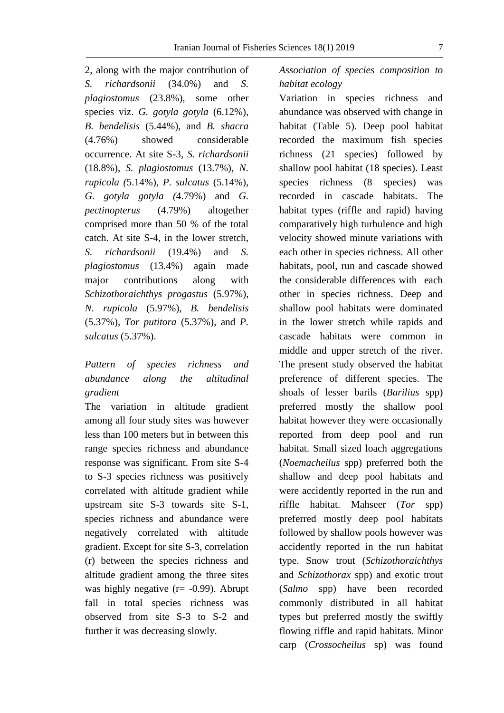2, along with the major contribution of *S. richardsonii* (34.0%) and *S. plagiostomus* (23.8%), some other species viz. *G. gotyla gotyla* (6.12%), *B. bendelisis* (5.44%), and *B. shacra* (4.76%) showed considerable occurrence. At site S-3, *S. richardsonii* (18.8%), *S. plagiostomus* (13.7%), *N. rupicola (*5.14%), *P. sulcatus* (5.14%), *G. gotyla gotyla (*4.79%) and *G. pectinopterus* (4.79%) altogether comprised more than 50 % of the total catch. At site S-4, in the lower stretch, *S. richardsonii* (19.4%) and *S. plagiostomus* (13.4%) again made major contributions along with *Schizothoraichthys progastus* (5.97%), *N. rupicola* (5.97%), *B. bendelisis*  (5.37%), *Tor putitora* (5.37%), and *P. sulcatus* (5.37%).

## *Pattern of species richness and abundance along the altitudinal gradient*

The variation in altitude gradient among all four study sites was however less than 100 meters but in between this range species richness and abundance response was significant. From site S-4 to S-3 species richness was positively correlated with altitude gradient while upstream site S-3 towards site S-1, species richness and abundance were negatively correlated with altitude gradient. Except for site S-3, correlation (r) between the species richness and altitude gradient among the three sites was highly negative  $(r = -0.99)$ . Abrupt fall in total species richness was observed from site S-3 to S-2 and further it was decreasing slowly.

*Association of species composition to habitat ecology*

Variation in species richness and abundance was observed with change in habitat (Table 5). Deep pool habitat recorded the maximum fish species richness (21 species) followed by shallow pool habitat (18 species). Least species richness (8 species) was recorded in cascade habitats. The habitat types (riffle and rapid) having comparatively high turbulence and high velocity showed minute variations with each other in species richness. All other habitats, pool, run and cascade showed the considerable differences with each other in species richness. Deep and shallow pool habitats were dominated in the lower stretch while rapids and cascade habitats were common in middle and upper stretch of the river. The present study observed the habitat preference of different species. The shoals of lesser barils (*Barilius* spp) preferred mostly the shallow pool habitat however they were occasionally reported from deep pool and run habitat. Small sized loach aggregations (*Noemacheilus* spp) preferred both the shallow and deep pool habitats and were accidently reported in the run and riffle habitat. Mahseer (*Tor* spp) preferred mostly deep pool habitats followed by shallow pools however was accidently reported in the run habitat type. Snow trout (*Schizothoraichthys*  and *Schizothorax* spp) and exotic trout (*Salmo* spp) have been recorded commonly distributed in all habitat types but preferred mostly the swiftly flowing riffle and rapid habitats. Minor carp (*Crossocheilus* sp) was found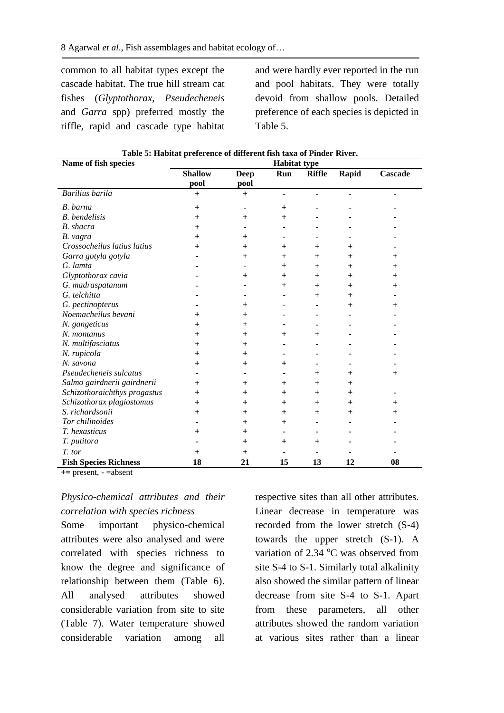common to all habitat types except the cascade habitat. The true hill stream cat fishes (*Glyptothorax*, *Pseudecheneis*  and *Garra* spp) preferred mostly the riffle, rapid and cascade type habitat

and were hardly ever reported in the run and pool habitats. They were totally devoid from shallow pools. Detailed preference of each species is depicted in Table 5.

| Name of fish species         | <b>Habitat type</b> |                 |        |               |                  |         |  |
|------------------------------|---------------------|-----------------|--------|---------------|------------------|---------|--|
|                              | <b>Shallow</b>      | <b>Deep</b>     | Run    | <b>Riffle</b> | Rapid            | Cascade |  |
|                              | pool                | pool            |        |               |                  |         |  |
| Barilius barila              | $\ddot{}$           | $\ddot{}$       |        |               |                  |         |  |
| B. barna                     | $+$                 |                 | $^+$   |               |                  |         |  |
| <b>B.</b> bendelisis         | $\ddot{}$           | $+$             | $^+$   |               |                  |         |  |
| <b>B.</b> shacra             | $\pm$               |                 |        |               |                  |         |  |
| B. vagra                     | $\pm$               | $^{\mathrm{+}}$ |        |               |                  |         |  |
| Crossocheilus latius latius  | $^+$                | $^+$            | $^+$   | $^{+}$        | $^+$             |         |  |
| Garra gotyla gotyla          |                     | $^{+}$          | $^{+}$ | $+$           | $^+$             | $^+$    |  |
| G. lamta                     |                     |                 | $^{+}$ | $+$           | $^+$             | $^+$    |  |
| Glyptothorax cavia           |                     | $^{+}$          | $^{+}$ | $^{+}$        | $^{+}$           | $\pm$   |  |
| G. madraspatanum             |                     |                 | $^{+}$ | $+$           | $^{+}$           | $^+$    |  |
| G. telchitta                 |                     |                 |        | $+$           | $\mathrm{+}$     |         |  |
| G. pectinopterus             |                     | $^+$            |        |               | $\mathrm{+}$     | $^+$    |  |
| Noemacheilus bevani          | $^{\mathrm{+}}$     | $^+$            |        |               |                  |         |  |
| N. gangeticus                | $\mathrm{+}$        | $^{+}$          |        |               |                  |         |  |
| N. montanus                  | $+$                 | $+$             | $^{+}$ | $\pm$         |                  |         |  |
| N. multifasciatus            | $\pm$               | $\pm$           |        |               |                  |         |  |
| N. rupicola                  | $^+$                | $\pm$           |        |               |                  |         |  |
| N. savona                    | $^+$                | $+$             | $^+$   |               |                  |         |  |
| Pseudecheneis sulcatus       |                     |                 |        | $^{+}$        | $^+$             | $^+$    |  |
| Salmo gairdnerii gairdnerii  | $\pm$               | $\pm$           | $^+$   | $\pm$         | $^+$             |         |  |
| Schizothoraichthys progastus | $\pm$               | $^+$            | $^+$   | $+$           | $+$              |         |  |
| Schizothorax plagiostomus    | $+$                 | $^+$            | $^+$   | $^{+}$        | $^{+}$           | $^+$    |  |
| S. richardsonii              | $\pm$               | $\pm$           | $\pm$  | $\pm$         | $\boldsymbol{+}$ | $^+$    |  |
| Tor chilinoides              |                     | $+$             | $^{+}$ |               |                  |         |  |
| T. hexasticus                | $\ddot{}$           | $\,^+$          |        |               |                  |         |  |
| T. putitora                  |                     | $^{+}$          | $^+$   | $^+$          |                  |         |  |
| T. tor                       | $\pm$               | $\,{}^+$        |        |               |                  |         |  |
| <b>Fish Species Richness</b> | 18                  | 21              | 15     | 13            | 12               | 08      |  |

|  | Table 5: Habitat preference of different fish taxa of Pinder River. |  |  |  |  |
|--|---------------------------------------------------------------------|--|--|--|--|
|--|---------------------------------------------------------------------|--|--|--|--|

**+=** present, - =absent

## *Physico-chemical attributes and their correlation with species richness*

Some important physico-chemical attributes were also analysed and were correlated with species richness to know the degree and significance of relationship between them (Table 6). All analysed attributes showed considerable variation from site to site (Table 7). Water temperature showed considerable variation among all

respective sites than all other attributes. Linear decrease in temperature was recorded from the lower stretch (S-4) towards the upper stretch (S-1). A variation of  $2.34 \text{ °C}$  was observed from site S-4 to S-1. Similarly total alkalinity also showed the similar pattern of linear decrease from site S-4 to S-1. Apart from these parameters, all other attributes showed the random variation at various sites rather than a linear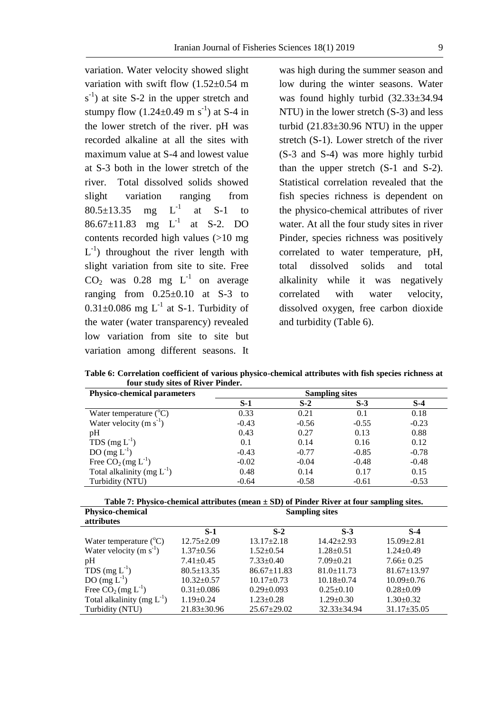variation. Water velocity showed slight variation with swift flow (1.52±0.54 m  $s^{-1}$ ) at site S-2 in the upper stretch and stumpy flow  $(1.24 \pm 0.49 \text{ m s}^{-1})$  at S-4 in the lower stretch of the river. pH was recorded alkaline at all the sites with maximum value at S-4 and lowest value at S-3 both in the lower stretch of the river. Total dissolved solids showed slight variation ranging from  $80.5 \pm 13.35$  mg  $\mathbf{L}^{-1}$ at S-1 to 86.67 $\pm$ 11.83 mg L<sup>-1</sup> at S-2. DO contents recorded high values (>10 mg  $L^{-1}$ ) throughout the river length with slight variation from site to site. Free  $CO<sub>2</sub>$  was 0.28 mg  $L<sup>-1</sup>$  on average ranging from  $0.25 \pm 0.10$  at S-3 to  $0.31\pm0.086$  mg L<sup>-1</sup> at S-1. Turbidity of the water (water transparency) revealed low variation from site to site but variation among different seasons. It

was high during the summer season and low during the winter seasons. Water was found highly turbid (32.33±34.94 NTU) in the lower stretch (S-3) and less turbid (21.83±30.96 NTU) in the upper stretch (S-1). Lower stretch of the river (S-3 and S-4) was more highly turbid than the upper stretch (S-1 and S-2). Statistical correlation revealed that the fish species richness is dependent on the physico-chemical attributes of river water. At all the four study sites in river Pinder, species richness was positively correlated to water temperature, pH, total dissolved solids and total alkalinity while it was negatively correlated with water velocity, dissolved oxygen, free carbon dioxide and turbidity (Table 6).

**Table 6: Correlation coefficient of various physico-chemical attributes with fish species richness at four study sites of River Pinder.**

| <b>Physico-chemical parameters</b> | <b>Sampling sites</b> |         |         |         |  |  |  |
|------------------------------------|-----------------------|---------|---------|---------|--|--|--|
|                                    | $S-1$                 | $S-2$   | $S-3$   | $S-4$   |  |  |  |
| Water temperature $({}^{\circ}C)$  | 0.33                  | 0.21    | 0.1     | 0.18    |  |  |  |
| Water velocity $(m s-1)$           | $-0.43$               | $-0.56$ | $-0.55$ | $-0.23$ |  |  |  |
| pH                                 | 0.43                  | 0.27    | 0.13    | 0.88    |  |  |  |
| TDS $(mg L^{-1})$                  | 0.1                   | 0.14    | 0.16    | 0.12    |  |  |  |
| DO $(mg L-1)$                      | $-0.43$               | $-0.77$ | $-0.85$ | $-0.78$ |  |  |  |
| Free $CO2 (mg L-1)$                | $-0.02$               | $-0.04$ | $-0.48$ | $-0.48$ |  |  |  |
| Total alkalinity (mg $L^{-1}$ )    | 0.48                  | 0.14    | 0.17    | 0.15    |  |  |  |
| Turbidity (NTU)                    | $-0.64$               | $-0.58$ | $-0.61$ | $-0.53$ |  |  |  |

|                         | Table 7: Physico-chemical attributes (mean $\pm$ SD) of Pinder River at four sampling sites. |
|-------------------------|----------------------------------------------------------------------------------------------|
| <b>Physico-chemical</b> | <b>Sampling sites</b>                                                                        |

| $S-1$             | $S-2$             | $S-3$             | $S-4$             |
|-------------------|-------------------|-------------------|-------------------|
| $12.75 \pm 2.09$  | $13.17 \pm 2.18$  | $14.42 \pm 2.93$  | $15.09 \pm 2.81$  |
| $1.37 \pm 0.56$   | $1.52 \pm 0.54$   | $1.28 \pm 0.51$   | $1.24 \pm 0.49$   |
| $7.41 \pm 0.45$   | $7.33 \pm 0.40$   | $7.09 \pm 0.21$   | $7.66 \pm 0.25$   |
| $80.5 \pm 13.35$  | $86.67 \pm 11.83$ | $81.0 \pm 11.73$  | $81.67 \pm 13.97$ |
| $10.32 \pm 0.57$  | $10.17 \pm 0.73$  | $10.18 \pm 0.74$  | $10.09 \pm 0.76$  |
| $0.31 \pm 0.086$  | $0.29 \pm 0.093$  | $0.25 \pm 0.10$   | $0.28 \pm 0.09$   |
| $1.19 \pm 0.24$   | $1.23 \pm 0.28$   | $1.29 \pm 0.30$   | $1.30 \pm 0.32$   |
| $21.83 \pm 30.96$ | $25.67 \pm 29.02$ | $32.33 \pm 34.94$ | $31.17 \pm 35.05$ |
|                   |                   |                   |                   |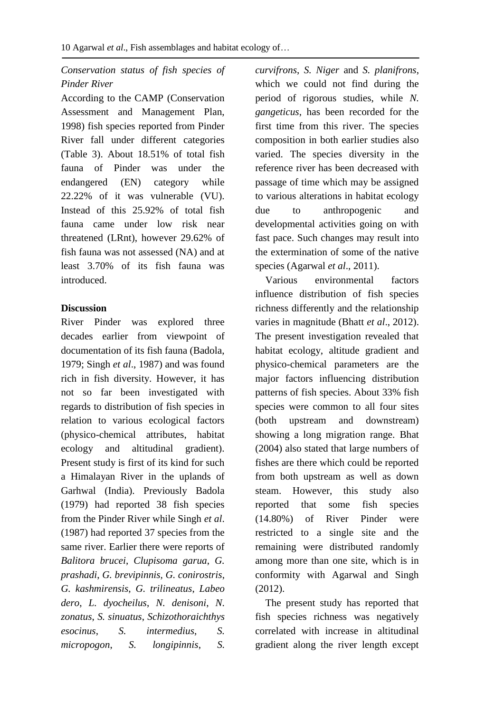## *Conservation status of fish species of Pinder River*

According to the CAMP (Conservation Assessment and Management Plan, 1998) fish species reported from Pinder River fall under different categories (Table 3). About 18.51% of total fish fauna of Pinder was under the endangered (EN) category while 22.22% of it was vulnerable (VU). Instead of this 25.92% of total fish fauna came under low risk near threatened (LRnt), however 29.62% of fish fauna was not assessed (NA) and at least 3.70% of its fish fauna was introduced.

## **Discussion**

River Pinder was explored three decades earlier from viewpoint of documentation of its fish fauna (Badola, 1979; Singh *et al*., 1987) and was found rich in fish diversity. However, it has not so far been investigated with regards to distribution of fish species in relation to various ecological factors (physico-chemical attributes, habitat ecology and altitudinal gradient). Present study is first of its kind for such a Himalayan River in the uplands of Garhwal (India). Previously Badola (1979) had reported 38 fish species from the Pinder River while Singh *et al*. (1987) had reported 37 species from the same river. Earlier there were reports of *Balitora brucei*, *Clupisoma garua*, *G. prashadi*, *G. brevipinnis, G. conirostris*, *G. kashmirensis*, *G. trilineatus*, *Labeo dero*, *L. dyocheilus*, *N. denisoni*, *N. zonatus*, *S. sinuatus*, *Schizothoraichthys esocinus*, *S. intermedius*, *S. micropogon*, *S. longipinnis*, *S.* 

*curvifrons*, *S. Niger* and *S. planifrons*, which we could not find during the period of rigorous studies, while *N. gangeticus*, has been recorded for the first time from this river. The species composition in both earlier studies also varied. The species diversity in the reference river has been decreased with passage of time which may be assigned to various alterations in habitat ecology due to anthropogenic and developmental activities going on with fast pace. Such changes may result into the extermination of some of the native species (Agarwal *et al*., 2011).

 Various environmental factors influence distribution of fish species richness differently and the relationship varies in magnitude (Bhatt *et al*., 2012). The present investigation revealed that habitat ecology, altitude gradient and physico-chemical parameters are the major factors influencing distribution patterns of fish species. About 33% fish species were common to all four sites (both upstream and downstream) showing a long migration range. Bhat (2004) also stated that large numbers of fishes are there which could be reported from both upstream as well as down steam. However, this study also reported that some fish species (14.80%) of River Pinder were restricted to a single site and the remaining were distributed randomly among more than one site, which is in conformity with Agarwal and Singh (2012).

 The present study has reported that fish species richness was negatively correlated with increase in altitudinal gradient along the river length except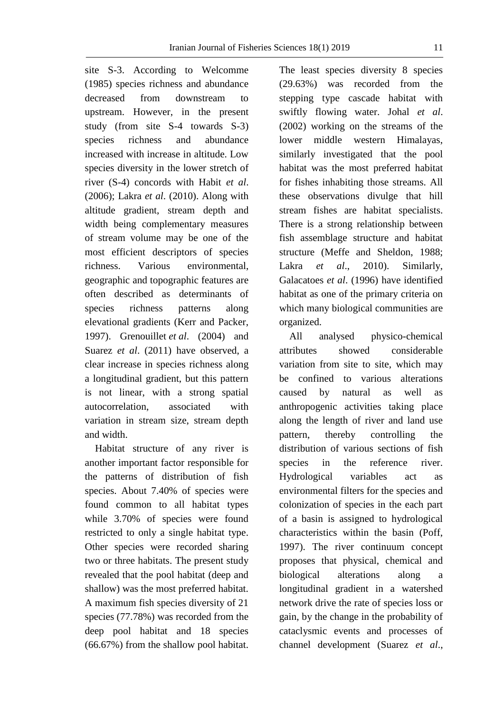site S-3. According to Welcomme (1985) species richness and abundance decreased from downstream to upstream. However, in the present study (from site S-4 towards S-3) species richness and abundance increased with increase in altitude. Low species diversity in the lower stretch of river (S-4) concords with Habit *et al*. (2006); Lakra *et al*. (2010). Along with altitude gradient, stream depth and width being complementary measures of stream volume may be one of the most efficient descriptors of species richness. Various environmental, geographic and topographic features are often described as determinants of species richness patterns along elevational gradients (Kerr and Packer, 1997). Grenouillet *et al*. (2004) and Suarez *et al*. (2011) have observed, a clear increase in species richness along a longitudinal gradient, but this pattern is not linear, with a strong spatial autocorrelation, associated with variation in stream size, stream depth and width.

 Habitat structure of any river is another important factor responsible for the patterns of distribution of fish species. About 7.40% of species were found common to all habitat types while 3.70% of species were found restricted to only a single habitat type. Other species were recorded sharing two or three habitats. The present study revealed that the pool habitat (deep and shallow) was the most preferred habitat. A maximum fish species diversity of 21 species (77.78%) was recorded from the deep pool habitat and 18 species (66.67%) from the shallow pool habitat.

The least species diversity 8 species (29.63%) was recorded from the stepping type cascade habitat with swiftly flowing water. Johal *et al*. (2002) working on the streams of the lower middle western Himalayas, similarly investigated that the pool habitat was the most preferred habitat for fishes inhabiting those streams. All these observations divulge that hill stream fishes are habitat specialists. There is a strong relationship between fish assemblage structure and habitat structure (Meffe and Sheldon, 1988; Lakra *et al*., 2010). Similarly, Galacatoes *et al*. (1996) have identified habitat as one of the primary criteria on which many biological communities are organized.

 All analysed physico-chemical attributes showed considerable variation from site to site, which may be confined to various alterations caused by natural as well as anthropogenic activities taking place along the length of river and land use pattern, thereby controlling the distribution of various sections of fish species in the reference river. Hydrological variables act as environmental filters for the species and colonization of species in the each part of a basin is assigned to hydrological characteristics within the basin (Poff, 1997). The river continuum concept proposes that physical, chemical and biological alterations along a longitudinal gradient in a watershed network drive the rate of species loss or gain, by the change in the probability of cataclysmic events and processes of channel development (Suarez *et al*.,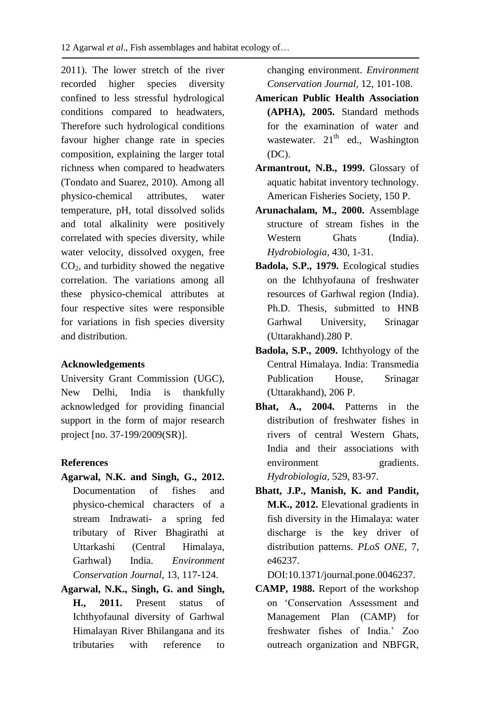2011). The lower stretch of the river recorded higher species diversity confined to less stressful hydrological conditions compared to headwaters, Therefore such hydrological conditions favour higher change rate in species composition, explaining the larger total richness when compared to headwaters (Tondato and Suarez, 2010). Among all physico-chemical attributes, water temperature, pH, total dissolved solids and total alkalinity were positively correlated with species diversity, while water velocity, dissolved oxygen, free  $CO<sub>2</sub>$ , and turbidity showed the negative correlation. The variations among all these physico-chemical attributes at four respective sites were responsible for variations in fish species diversity and distribution.

### **Acknowledgements**

University Grant Commission (UGC), New Delhi, India is thankfully acknowledged for providing financial support in the form of major research project [no. 37-199/2009(SR)].

#### **References**

- **Agarwal, N.K. and Singh, G., 2012.** Documentation of fishes and physico-chemical characters of a stream Indrawati- a spring fed tributary of River Bhagirathi at Uttarkashi (Central Himalaya, Garhwal) India. *Environment Conservation Journal,* 13, 117-124.
- **Agarwal, N.K., Singh, G. and Singh, H., 2011.** Present status of Ichthyofaunal diversity of Garhwal Himalayan River Bhilangana and its tributaries with reference to

changing environment. *Environment Conservation Journal,* 12, 101-108.

- **American Public Health Association (APHA), 2005.** Standard methods for the examination of water and wastewater.  $21<sup>th</sup>$  ed., Washington (DC).
- **Armantrout, N.B., 1999.** Glossary of aquatic habitat inventory technology. American Fisheries Society, 150 P.
- **Arunachalam, M., 2000.** Assemblage structure of stream fishes in the Western Ghats (India). *Hydrobiologia,* 430, 1-31.
- **Badola, S.P., 1979.** Ecological studies on the Ichthyofauna of freshwater resources of Garhwal region (India). Ph.D. Thesis, submitted to HNB Garhwal University, Srinagar (Uttarakhand).280 P.
- **Badola, S.P., 2009.** Ichthyology of the Central Himalaya. India: Transmedia Publication House, Srinagar (Uttarakhand), 206 P.
- **Bhat, A., 2004.** Patterns in the distribution of freshwater fishes in rivers of central Western Ghats, India and their associations with environment gradients. *Hydrobiologia,* 529, 83-97.
- **Bhatt, J.P., Manish, K. and Pandit, M.K., 2012.** Elevational gradients in fish diversity in the Himalaya: water discharge is the key driver of distribution patterns. *PLoS ONE*, 7, e46237.

DOI:10.1371/journal.pone.0046237.

**CAMP, 1988.** Report of the workshop on 'Conservation Assessment and Management Plan (CAMP) for freshwater fishes of India.' Zoo outreach organization and NBFGR,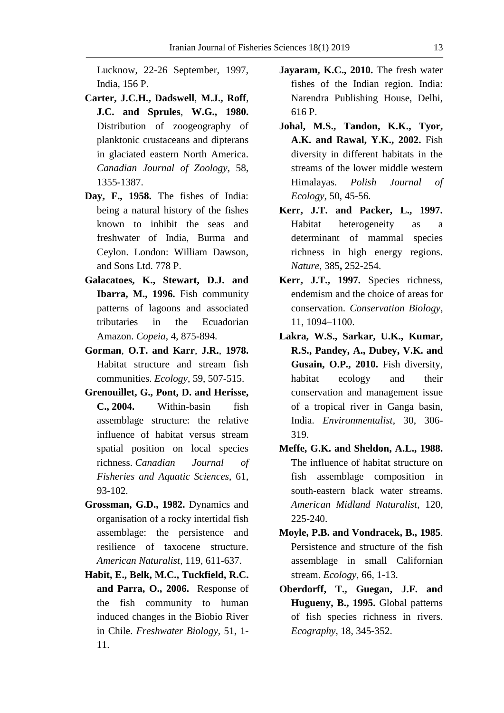Lucknow, 22-26 September, 1997, India, 156 P.

- **Carter, J.C.H., Dadswell**, **M.J., Roff**, **J.C. and Sprules**, **W.G., 1980.** Distribution of zoogeography of planktonic crustaceans and dipterans in glaciated eastern North America. *Canadian Journal of Zoology*, 58, 1355-1387.
- **Day, F., 1958.** The fishes of India: being a natural history of the fishes known to inhibit the seas and freshwater of India, Burma and Ceylon. London: William Dawson, and Sons Ltd. 778 P.
- **Galacatoes, K., Stewart, D.J. and Ibarra, M., 1996.** Fish community patterns of lagoons and associated tributaries in the Ecuadorian Amazon. *Copeia*, 4, 875-894.
- **Gorman**, **O.T. and Karr**, **J.R.**, **1978.** Habitat structure and stream fish communities. *Ecology*, 59, 507-515.
- **Grenouillet, G., Pont, D. and Herisse, C., 2004.** Within-basin fish assemblage structure: the relative influence of habitat versus stream spatial position on local species richness. *Canadian Journal of Fisheries and Aquatic Sciences*, 61, 93-102.
- **Grossman, G.D., 1982.** Dynamics and organisation of a rocky intertidal fish assemblage: the persistence and resilience of taxocene structure. *American Naturalist*, 119, 611-637.
- **Habit, E., Belk, M.C., Tuckfield, R.C. and Parra, O., 2006.** Response of the fish community to human induced changes in the Biobio River in Chile. *Freshwater Biology,* 51, 1- 11.
- **Jayaram, K.C., 2010.** The fresh water fishes of the Indian region. India: Narendra Publishing House, Delhi, 616 P.
- **Johal, M.S., Tandon, K.K., Tyor, A.K. and Rawal, Y.K., 2002.** Fish diversity in different habitats in the streams of the lower middle western Himalayas. *Polish Journal of Ecology,* 50, 45-56.
- **Kerr, J.T. and Packer, L., 1997.** Habitat heterogeneity as a determinant of mammal species richness in high energy regions. *Nature,* 385**,** 252-254.
- **Kerr, J.T., 1997.** Species richness, endemism and the choice of areas for conservation. *Conservation Biology*, 11, 1094–1100.
- **Lakra, W.S., Sarkar, U.K., Kumar, R.S., Pandey, A., Dubey, V.K. and Gusain, O.P., 2010.** Fish diversity, habitat ecology and their conservation and management issue of a tropical river in Ganga basin, India. *Environmentalist*, 30, 306- 319.
- **Meffe, G.K. and Sheldon, A.L., 1988.** The influence of habitat structure on fish assemblage composition in south-eastern black water streams. *American Midland Naturalist*, 120, 225-240.
- **Moyle, P.B. and Vondracek, B., 1985**. Persistence and structure of the fish assemblage in small Californian stream. *Ecology*, 66, 1-13.
- **Oberdorff, T., Guegan, J.F. and Hugueny, B., 1995.** Global patterns of fish species richness in rivers. *Ecography*, 18, 345-352.